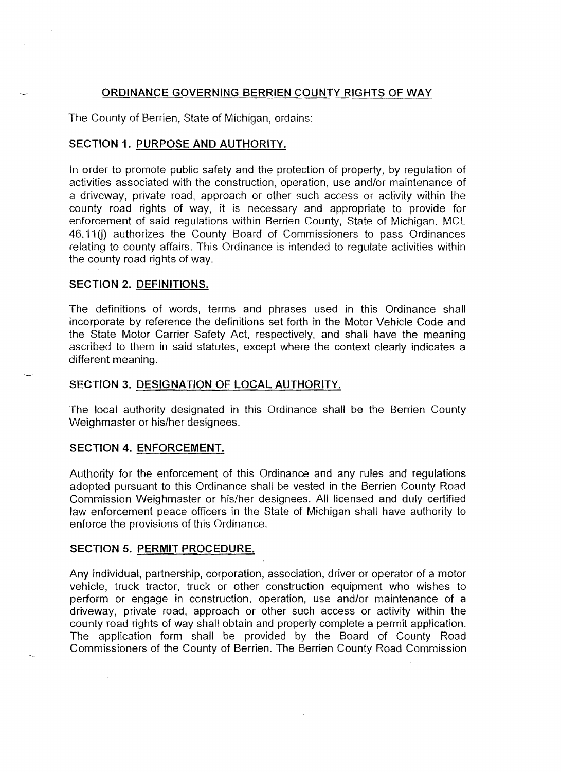# ORDINANCE GOVERNING BERRIEN COUNTY RIGHTS OF WAY

The County of Berrien, State of Michigan, ordains:

## SECTION 1. PURPOSE AND AUTHORITY.

In order to promote public safety and the protection of property, by regulation of activities associated with the construction, operation, use and/or maintenance of a driveway, private road, approach or other such access or activity within the county road rights of way, it is necessary and appropriate to provide for enforcement of said regulations within Berrien County, State of Michigan. MCl 46.11(i) authorizes the County Board of Commissioners to pass Ordinances relating to county affairs. This Ordinance is intended to regulate activities within the county road rights of way.

## SECTION 2. DEFINITIONS.

The definitions of words, terms and phrases used in this Ordinance shall incorporate by reference the definitions set forth in the Motor Vehicle Code and the State Motor Carrier Safety Act, respectively, and shall have the meaning ascribed to them in said statutes, except where the context clearly indicates a different meaning.

## SECTION 3. DESIGNATION OF LOCAL AUTHORITY.

The local authority designated in this Ordinance shall be the Berrien County Weighmaster or his/her designees.

### SECTION 4. ENFORCEMENT.

Authority for the enforcement of this Ordinance and any rules and regulations adopted pursuant to this Ordinance shall be vested in the Berrien County Road Commission Weighmaster or his/her designees. All licensed and duly certified law enforcement peace officers in the State of Michigan shall have authority to enforce the provisions of this Ordinance.

## SECTION 5. PERMIT PROCEDURE.

 $\sim 10^7$ 

Any individual, partnership, corporation, association, driver or operator of a motor vehicle, truck tractor, truck or other construction equipment who wishes to perform or engage in construction, operation, use and/or maintenance of a driveway, private road, approach or other such access or activity within the county road rights of way shall obtain and properly complete a permit application. The application form shall be provided by the Board of County Road Commissioners of the County of Berrien. The Berrien County Road Commission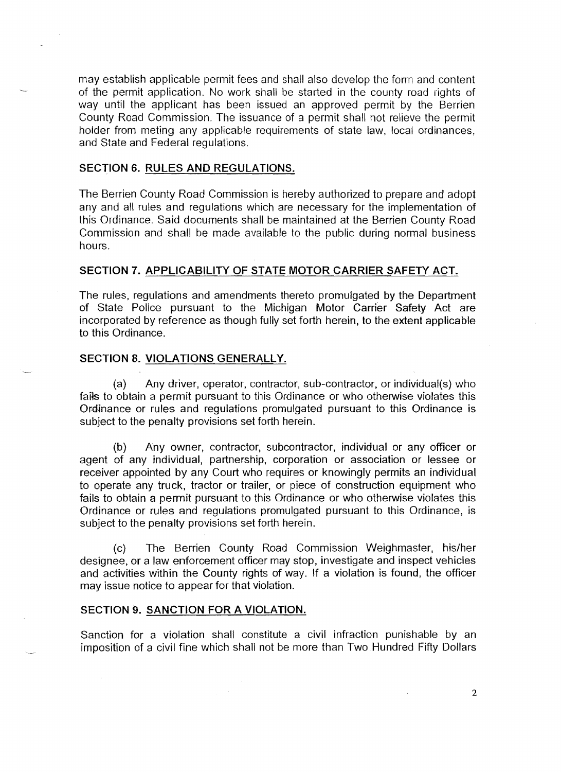may establish applicable permit fees and shall also develop the form and content of the permit application. No work shall be started in the county road rights of way until the applicant has been issued an approved permit by the Berrien County Road Commission. The issuance of a permit shall not relieve the permit holder from meting any applicable requirements of state law, local ordinances, and State and Federal regulations.

### SECTION 6. RULES AND REGULATIONS.

The Berrien County Road Commission is hereby authorized to prepare and adopt any and all rules and regulations which are necessary for the implementation of this Ordinance. Said documents shall be maintained at the Berrien County Road Commission and shall be made available to the public during normal business hours.

## SECTION 7. APPLICABILITY OF STATE MOTOR CARRIER SAFETY ACT.

The rules, regulations and amendments thereto promulgated by the Department of State Police pursuant to the Michigan Motor Carrier Safety Act are incorporated by reference as though fully set forth herein, to the extent applicable to this Ordinance.

## SECTION 8. VIOLATIONS GENERALLY.

(a) Any driver, operator, contractor, sub-contractor, or individual(s) who fails to obtain a permit pursuant to this Ordinance or who otherwise violates this Ordinance or rules and regulations promulgated pursuant to this Ordinance is subject to the penalty provisions set forth herein.

(b) Any owner, contractor, subcontractor, individual or any officer or agent of any individual, partnership, corporation or association or lessee or receiver appointed by any Court who requires or knowingly permits an individual to operate any truck, tractor or trailer, or piece of construction equipment who fails to obtain a permit pursuant to this Ordinance or who otherwise violates this Ordinance or rules and regulations promulgated pursuant to this Ordinance, is subject to the penalty provisions set forth herein.

(c) The Berrien County Road Commission Weighmaster, his/her designee, or a law enforcement officer may stop, investigate and inspect vehicles and activities within the County rights of way. If a violation is found, the officer may issue notice to appear for that violation.

### SECTION 9. SANCTION FOR A VIOLATION.

Sanction for a violation shall constitute a civil infraction punishable by an imposition of a civil fine which shall not be more than Two Hundred Fifty Dollars

2